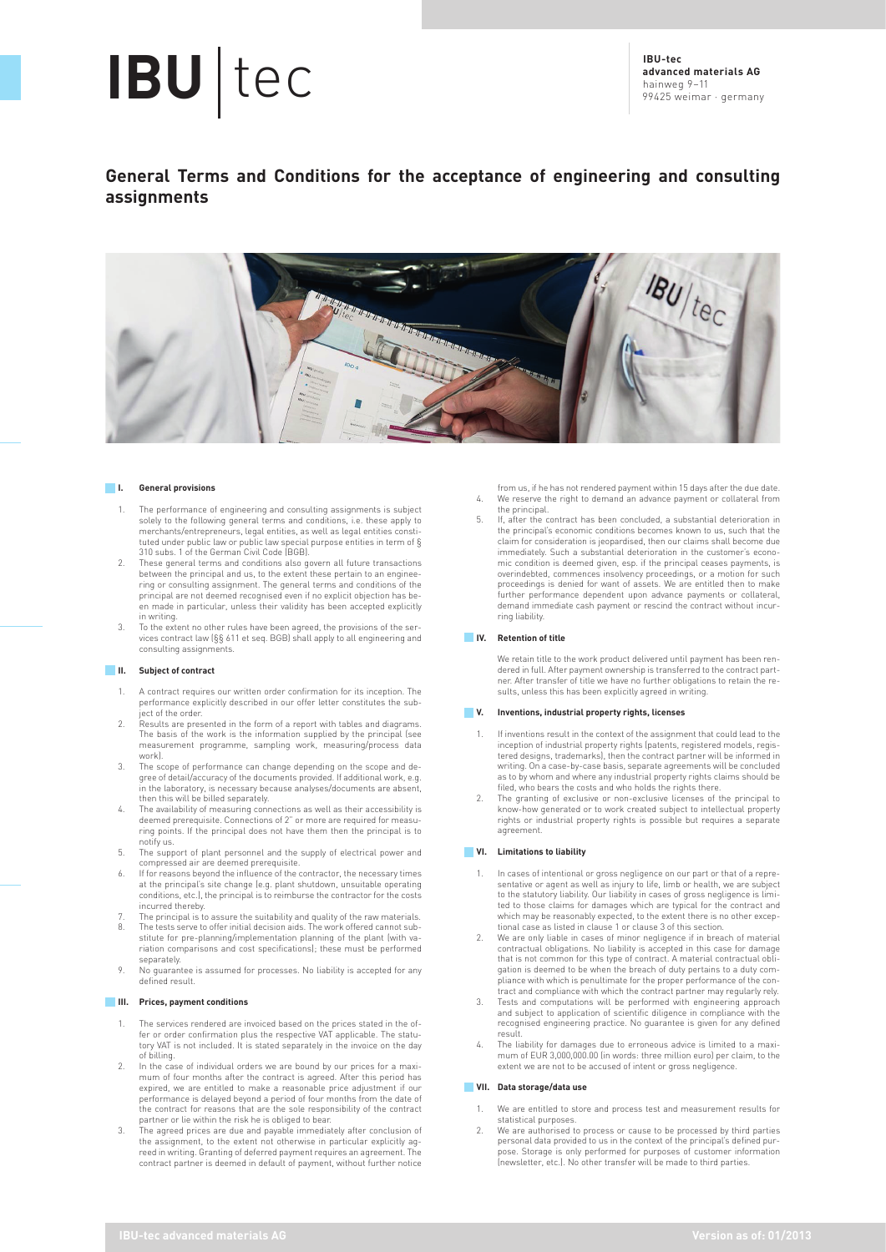# **IBU** tec **IBU-tec IBU-tec IBU-tec IBU-tec**

**advanced materials AG** hainweg 9–11 99425 weimar · germany

# **General Terms and Conditions for the acceptance of engineering and consulting assignments**



#### **I. General provisions**

- 1. The performance of engineering and consulting assignments is subject solely to the following general terms and conditions, i.e. these apply to merchants/entrepreneurs, legal entities, as well as legal entities constituted under public law or public law special purpose entities in term of §
- 310 subs. 1 of the German Civil Code (BGB). 2. These general terms and conditions also govern all future transactions between the principal and us, to the extent these pertain to an enginee-ring or consulting assignment. The general terms and conditions of the principal are not deemed recognised even if no explicit objection has been made in particular, unless their validity has been accepted explicitly in writing.
- 3. To the extent no other rules have been agreed, the provisions of the ser-vices contract law (§§ 611 et seq. BGB) shall apply to all engineering and consulting assignments.

#### **II. Subject of contract**

- 1. A contract requires our written order confirmation for its inception. The performance explicitly described in our offer letter constitutes the subject of the order.
- 2. Results are presented in the form of a report with tables and diagrams. The basis of the work is the information supplied by the principal (see measurement programme, sampling work, measuring/process data work).
- 3. The scope of performance can change depending on the scope and de-gree of detail/accuracy of the documents provided. If additional work, e.g. in the laboratory, is necessary because analyses/documents are absent, then this will be billed separately.
- The availability of measuring connections as well as their accessibility is deemed prerequisite. Connections of 2" or more are required for measu-ring points. If the principal does not have them then the principal is to notify us.
- 5. The support of plant personnel and the supply of electrical power and compressed air are deemed prerequisite.
- 6. If for reasons beyond the influence of the contractor, the necessary times at the principal's site change (e.g. plant shutdown, unsuitable operating conditions, etc.), the principal is to reimburse the contractor for the costs incurred thereby.
- The principal is to assure the suitability and quality of the raw materials. 8. The tests serve to offer initial decision aids. The work offered cannot sub-
- stitute for pre-planning/implementation planning of the plant (with variation comparisons and cost specifications); these must be performed separately.
- 9. No guarantee is assumed for processes. No liability is accepted for any defined result.

### **III. Prices, payment conditions**

- 1. The services rendered are invoiced based on the prices stated in the offer or order confirmation plus the respective VAT applicable. The statutory VAT is not included. It is stated separately in the invoice on the day of billing.
- 2. In the case of individual orders we are bound by our prices for a maxi-mum of four months after the contract is agreed. After this period has expired, we are entitled to make a reasonable price adjustment if our performance is delayed beyond a period of four months from the date of the contract for reasons that are the sole responsibility of the contract
- partner or lie within the risk he is obliged to bear. 3. The agreed prices are due and payable immediately after conclusion of the assignment, to the extent not otherwise in particular explicitly ag-reed in writing. Granting of deferred payment requires an agreement. The contract partner is deemed in default of payment, without further notice
- from us, if he has not rendered payment within 15 days after the due date. 4. We reserve the right to demand an advance payment or collateral from the principal.
- 5. If, after the contract has been concluded, a substantial deterioration in the principal's economic conditions becomes known to us, such that the claim for consideration is jeopardised, then our claims shall become due immediately. Such a substantial deterioration in the customer's econominimum condition is deemed given, esp. if the principal ceases payments, is overindebted, commences insolvency proceedings, or a motion for such proceedings is denied for want of assets. We are entitled then to make further performance dependent upon advance payments or collateral, demand immediate cash payment or rescind the contract without incurring liability.

#### **IV. Retention of title**

We retain title to the work product delivered until payment has been rendered in full. After payment ownership is transferred to the contract part-ner. After transfer of title we have no further obligations to retain the results, unless this has been explicitly agreed in writing.

#### **V. Inventions, industrial property rights, licenses**

- If inventions result in the context of the assignment that could lead to the inception of industrial property rights (patents, registered models, regis-tered designs, trademarks), then the contract partner will be informed in writing. On a case-by-case basis, separate agreements will be concluded as to by whom and where any industrial property rights claims should be filed, who bears the costs and who holds the rights there.
- 2. The granting of exclusive or non-exclusive licenses of the principal to know-how generated or to work created subject to intellectual property rights or industrial property rights is possible but requires a separate agreement.

### **VI. Limitations to liability**

- In cases of intentional or gross negligence on our part or that of a representative or agent as well as injury to life, limb or health, we are subject<br>to the statutory liability. Our liability in cases of gross negligence is limi-<br>ted to those claims for damages which are typical for the contrac which may be reasonably expected, to the extent there is no other excep-tional case as listed in clause 1 or clause 3 of this section.
- 2. We are only liable in cases of minor negligence if in breach of material contractual obligations. No liability is accepted in this case for damage that is not common for this type of contract. A material contractual obligation is deemed to be when the breach of duty pertains to a duty com-pliance with which is penultimate for the proper performance of the con-
- tract and compliance with which the contract partner may regularly rely. 3. Tests and computations will be performed with engineering approach and subject to application of scientific diligence in compliance with the recognised engineering practice. No guarantee is given for any defined result.
- 4. The liability for damages due to erroneous advice is limited to a maximum of EUR 3,000,000.00 (in words: three million euro) per claim, to the extent we are not to be accused of intent or gross negligence.

#### **VII. Data storage/data use**

- 1. We are entitled to store and process test and measurement results for statistical purposes.
- 2. We are authorised to process or cause to be processed by third parties personal data provided to us in the context of the principal's defined purpose. Storage is only performed for purposes of customer information (newsletter, etc.). No other transfer will be made to third parties.